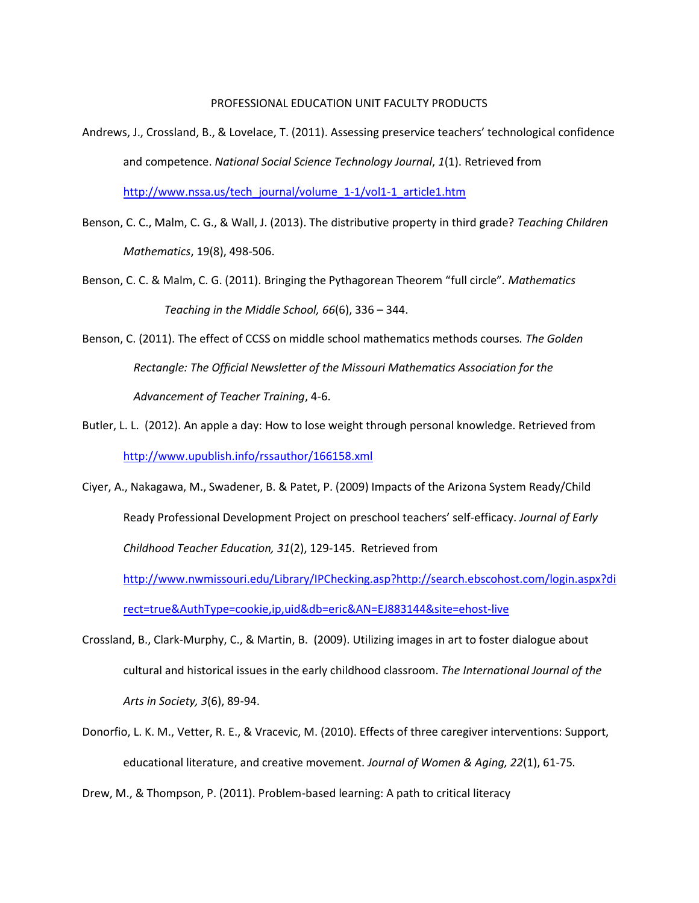## PROFESSIONAL EDUCATION UNIT FACULTY PRODUCTS

- Andrews, J., Crossland, B., & Lovelace, T. (2011). Assessing preservice teachers' technological confidence and competence. *National Social Science Technology Journal*, *1*(1). Retrieved from [http://www.nssa.us/tech\\_journal/volume\\_1-1/vol1-1\\_article1.htm](http://www.nssa.us/tech_journal/volume_1-1/vol1-1_article1.htm)
- Benson, C. C., Malm, C. G., & Wall, J. (2013). The distributive property in third grade? *Teaching Children Mathematics*, 19(8), 498-506.
- Benson, C. C. & Malm, C. G. (2011). Bringing the Pythagorean Theorem "full circle"*. Mathematics Teaching in the Middle School, 66*(6), 336 – 344.
- Benson, C. (2011). The effect of CCSS on middle school mathematics methods courses*. The Golden Rectangle: The Official Newsletter of the Missouri Mathematics Association for the Advancement of Teacher Training*, 4-6.
- Butler, L. L. (2012). An apple a day: How to lose weight through personal knowledge. Retrieved from <http://www.upublish.info/rssauthor/166158.xml>
- Ciyer, A., Nakagawa, M., Swadener, B. & Patet, P. (2009) Impacts of the Arizona System Ready/Child Ready Professional Development Project on preschool teachers' self-efficacy. *Journal of Early Childhood Teacher Education, 31*(2), 129-145. Retrieved from [http://www.nwmissouri.edu/Library/IPChecking.asp?http://search.ebscohost.com/login.aspx?di](http://www.nwmissouri.edu/Library/IPChecking.asp?http://search.ebscohost.com/login.aspx?direct=true&AuthType=cookie,ip,uid&db=eric&AN=EJ883144&site=ehost-live)

[rect=true&AuthType=cookie,ip,uid&db=eric&AN=EJ883144&site=ehost-live](http://www.nwmissouri.edu/Library/IPChecking.asp?http://search.ebscohost.com/login.aspx?direct=true&AuthType=cookie,ip,uid&db=eric&AN=EJ883144&site=ehost-live)

- Crossland, B., Clark-Murphy, C., & Martin, B. (2009). Utilizing images in art to foster dialogue about cultural and historical issues in the early childhood classroom. *The International Journal of the Arts in Society, 3*(6), 89-94.
- Donorfio, L. K. M., Vetter, R. E., & Vracevic, M. (2010). Effects of three caregiver interventions: Support, educational literature, and creative movement. *Journal of Women & Aging, 22*(1), 61-75*.*

Drew, M., & Thompson, P. (2011). Problem-based learning: A path to critical literacy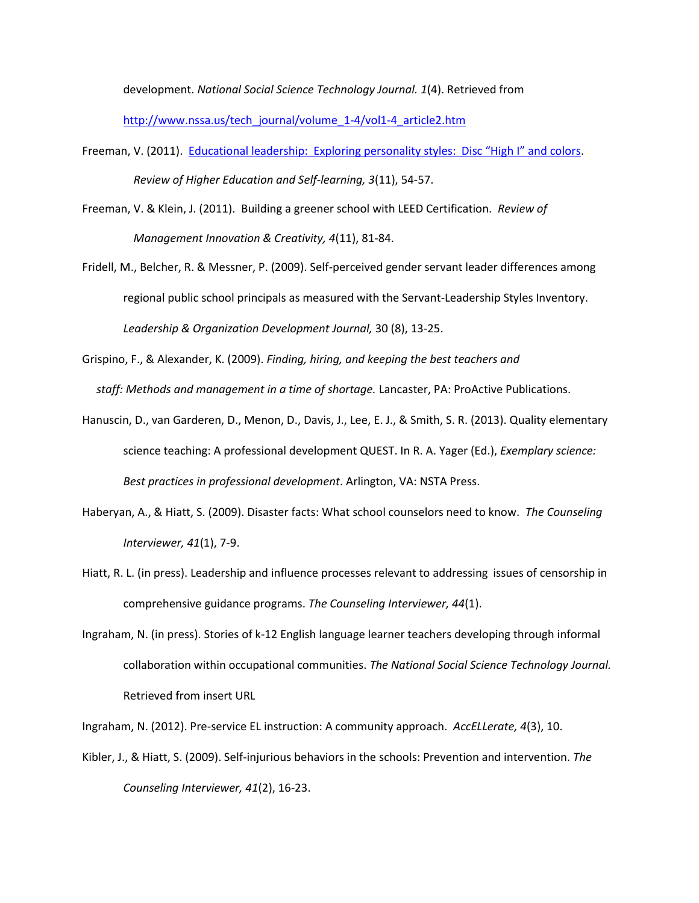development. *National Social Science Technology Journal. 1*(4). Retrieved from

[http://www.nssa.us/tech\\_journal/volume\\_1-4/vol1-4\\_article2.htm](http://www.nssa.us/tech_journal/volume_1-4/vol1-4_article2.htm)

- Freeman, V. (2011). [Educational leadership: Exploring personality styles: Disc "High I" and colors](http://www.nwmissouri.edu/Library/IPChecking.asp?http://search.ebscohost.com/login.aspx?direct=true&AuthType=cookie,ip,uid&db=ehh&AN=66136261&site=ehost-live). *Review of Higher Education and Self-learning, 3*(11), 54-57.
- Freeman, V. & Klein, J. (2011). Building a greener school with LEED Certification. *Review of Management Innovation & Creativity, 4*(11), 81-84.
- Fridell, M., Belcher, R. & Messner, P. (2009). Self-perceived gender servant leader differences among regional public school principals as measured with the Servant-Leadership Styles Inventory. *Leadership & Organization Development Journal,* 30 (8), 13-25.

Grispino, F., & Alexander, K. (2009). *Finding, hiring, and keeping the best teachers and staff: Methods and management in a time of shortage.* Lancaster, PA: ProActive Publications.

- Hanuscin, D., van Garderen, D., Menon, D., Davis, J., Lee, E. J., & Smith, S. R. (2013). Quality elementary science teaching: A professional development QUEST. In R. A. Yager (Ed.), *Exemplary science: Best practices in professional development*. Arlington, VA: NSTA Press.
- Haberyan, A., & Hiatt, S. (2009). Disaster facts: What school counselors need to know. *The Counseling Interviewer, 41*(1), 7-9.
- Hiatt, R. L. (in press). Leadership and influence processes relevant to addressing issues of censorship in comprehensive guidance programs. *The Counseling Interviewer, 44*(1).
- Ingraham, N. (in press). Stories of k-12 English language learner teachers developing through informal collaboration within occupational communities. *The National Social Science Technology Journal.* Retrieved from insert URL

Ingraham, N. (2012). Pre-service EL instruction: A community approach. *AccELLerate, 4*(3), 10.

Kibler, J., & Hiatt, S. (2009). Self-injurious behaviors in the schools: Prevention and intervention. *The Counseling Interviewer, 41*(2), 16-23.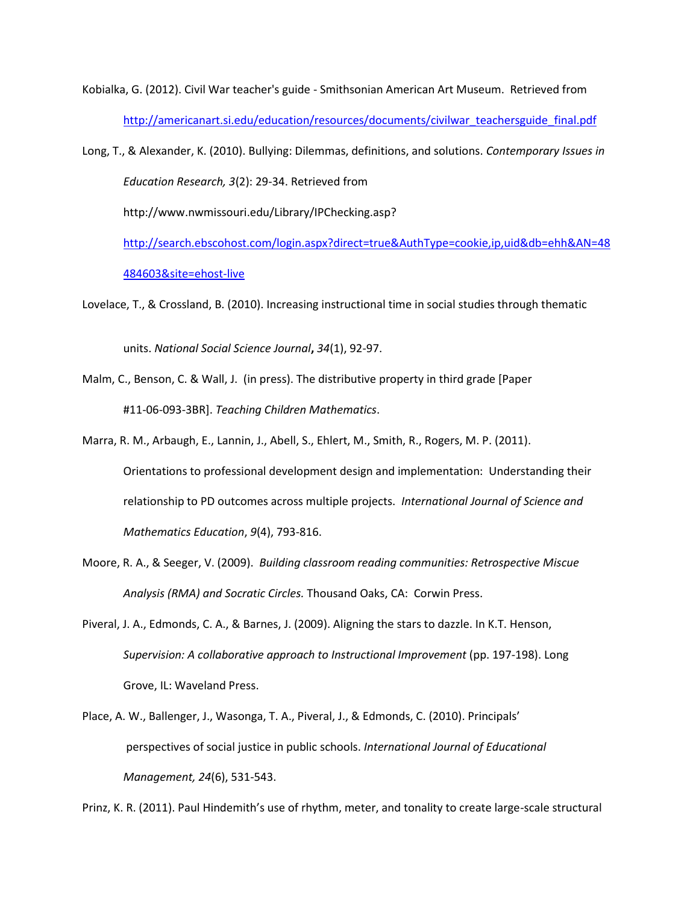Kobialka, G. (2012). Civil War teacher's guide - Smithsonian American Art Museum. Retrieved from [http://americanart.si.edu/education/resources/documents/civilwar\\_teachersguide\\_final.pdf](http://americanart.si.edu/education/resources/documents/civilwar_teachersguide_final.pdf)

Long, T., & Alexander, K. (2010). Bullying: Dilemmas, definitions, and solutions. *Contemporary Issues in Education Research, 3*(2): 29-34. Retrieved from

http://www.nwmissouri.edu/Library/IPChecking.asp?

[http://search.ebscohost.com/login.aspx?direct=true&AuthType=cookie,ip,uid&db=ehh&AN=48](http://search.ebscohost.com/login.aspx?direct=true&AuthType=cookie,ip,uid&db=ehh&AN=48484603&site=ehost-live) [484603&site=ehost-live](http://search.ebscohost.com/login.aspx?direct=true&AuthType=cookie,ip,uid&db=ehh&AN=48484603&site=ehost-live)

Lovelace, T., & Crossland, B. (2010). Increasing instructional time in social studies through thematic

units. *National Social Science Journal***,** *34*(1), 92-97.

- Malm, C., Benson, C. & Wall, J. (in press). The distributive property in third grade [Paper #11-06-093-3BR]. *Teaching Children Mathematics*.
- Marra, R. M., Arbaugh, E., Lannin, J., Abell, S., Ehlert, M., Smith, R., Rogers, M. P. (2011). Orientations to professional development design and implementation: Understanding their relationship to PD outcomes across multiple projects. *International Journal of Science and Mathematics Education*, *9*(4), 793-816.
- Moore, R. A., & Seeger, V. (2009). *Building classroom reading communities: Retrospective Miscue Analysis (RMA) and Socratic Circles.* Thousand Oaks, CA: Corwin Press.
- Piveral, J. A., Edmonds, C. A., & Barnes, J. (2009). Aligning the stars to dazzle. In K.T. Henson, *Supervision: A collaborative approach to Instructional Improvement* (pp. 197-198). Long Grove, IL: Waveland Press.
- Place, A. W., Ballenger, J., Wasonga, T. A., Piveral, J., & Edmonds, C. (2010). Principals' perspectives of social justice in public schools. *International Journal of Educational Management, 24*(6), 531-543.

Prinz, K. R. (2011). Paul Hindemith's use of rhythm, meter, and tonality to create large-scale structural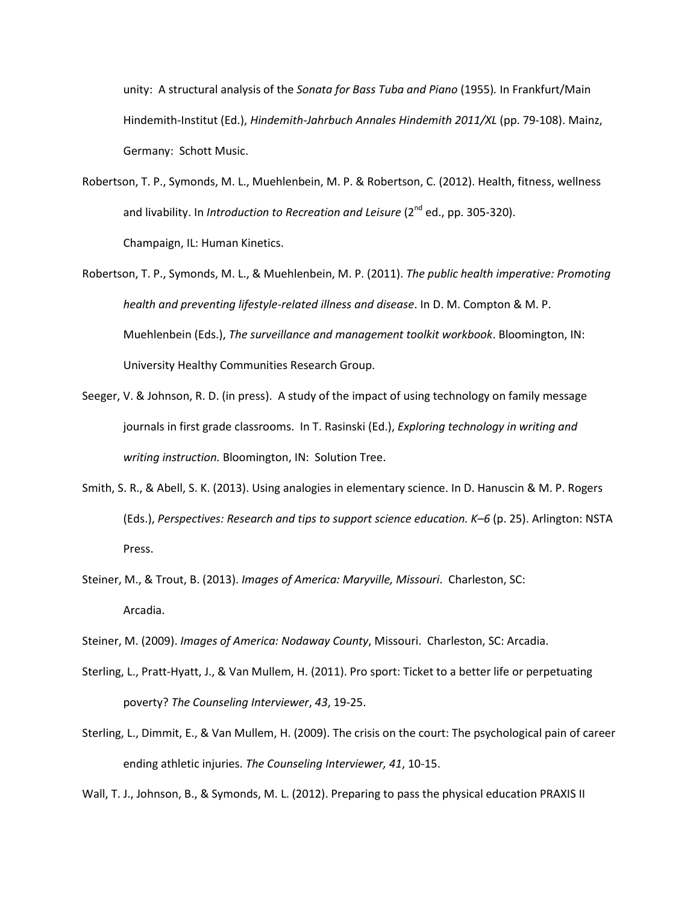unity: A structural analysis of the *Sonata for Bass Tuba and Piano* (1955)*.* In Frankfurt/Main Hindemith-Institut (Ed.), *Hindemith-Jahrbuch Annales Hindemith 2011/XL* (pp. 79-108). Mainz, Germany: Schott Music.

- Robertson, T. P., Symonds, M. L., Muehlenbein, M. P. & Robertson, C. (2012). Health, fitness, wellness and livability. In *Introduction to Recreation and Leisure* (2<sup>nd</sup> ed., pp. 305-320). Champaign, IL: Human Kinetics.
- Robertson, T. P., Symonds, M. L., & Muehlenbein, M. P. (2011). *The public health imperative: Promoting health and preventing lifestyle-related illness and disease*. In D. M. Compton & M. P. Muehlenbein (Eds.), *The surveillance and management toolkit workbook*. Bloomington, IN: University Healthy Communities Research Group.
- Seeger, V. & Johnson, R. D. (in press). A study of the impact of using technology on family message journals in first grade classrooms. In T. Rasinski (Ed.), *Exploring technology in writing and writing instruction.* Bloomington, IN: Solution Tree.
- Smith, S. R., & Abell, S. K. (2013). Using analogies in elementary science. In D. Hanuscin & M. P. Rogers (Eds.), *Perspectives: Research and tips to support science education. K–6* (p. 25). Arlington: NSTA Press.
- Steiner, M., & Trout, B. (2013). *Images of America: Maryville, Missouri*. Charleston, SC: Arcadia.
- Steiner, M. (2009). *Images of America: Nodaway County*, Missouri. Charleston, SC: Arcadia.
- Sterling, L., Pratt-Hyatt, J., & Van Mullem, H. (2011). Pro sport: Ticket to a better life or perpetuating poverty? *The Counseling Interviewer*, *43*, 19-25.
- Sterling, L., Dimmit, E., & Van Mullem, H. (2009). The crisis on the court: The psychological pain of career ending athletic injuries. *The Counseling Interviewer, 41*, 10-15.

Wall, T. J., Johnson, B., & Symonds, M. L. (2012). Preparing to pass the physical education PRAXIS II